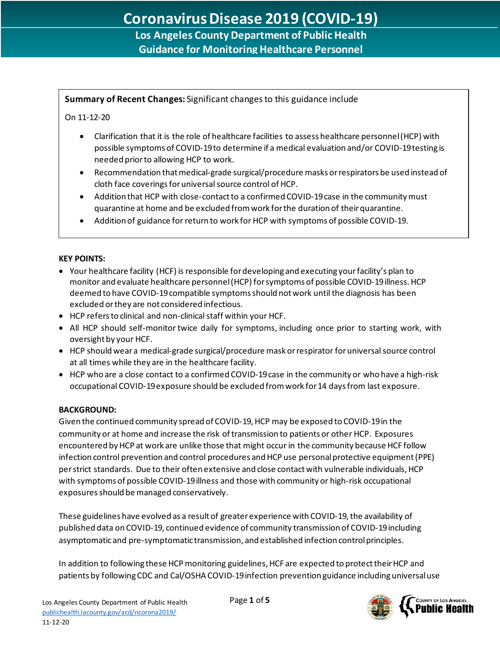# **Los Angeles County Department of Public Health Guidance for Monitoring Healthcare Personnel**

# **Summary of Recent Changes:** Significant changes to this guidance include

### On 11-12-20

l,

- Clarification that it is the role of healthcare facilities to assess healthcare personnel (HCP) with possible symptoms of COVID-19 to determine if a medical evaluation and/or COVID-19 testing is needed prior to allowing HCP to work.
- Recommendation that medical-grade surgical/procedure masks or respirators be used instead of cloth face coverings for universal source control of HCP.
- Addition that HCP with close-contact to a confirmed COVID-19 case in the communitymust quarantine at home and be excluded from work for the duration of their quarantine.
- Addition of guidance for return to work for HCP with symptoms of possible COVID-19.

#### **KEY POINTS:**

- Your healthcare facility (HCF) is responsible for developing and executing your facility's plan to monitor and evaluate healthcare personnel (HCP) for symptoms of possible COVID-19 illness. HCP deemed to have COVID-19 compatible symptomsshould not work until the diagnosis has been excluded or they are not considered infectious.
- HCP refers to clinical and non-clinical staff within your HCF.
- All HCP should self-monitor twice daily for symptoms, including once prior to starting work, with oversight by your HCF.
- HCP should wear a medical-grade surgical/procedure mask orrespirator for universal source control at all times while they are in the healthcare facility.
- HCP who are a close contact to a confirmed COVID-19 case in the community or who have a high-risk occupational COVID-19 exposure should be excluded from work for 14 days from last exposure.

## **BACKGROUND:**

Given the continued community spread of COVID-19, HCP may be exposed to COVID-19 in the community or at home and increase the risk of transmission to patients or other HCP. Exposures encountered by HCP at work are unlike those that might occur in the community because HCF follow infection control prevention and control procedures and HCP use personal protective equipment (PPE) per strict standards. Due to their often extensive and close contact with vulnerable individuals, HCP with symptoms of possible COVID-19 illness and those with community or high-risk occupational exposures should be managed conservatively.

These guidelines have evolved as a result of greater experience with COVID-19, the availability of published data on COVID-19, continued evidence of community transmission of COVID-19 including asymptomatic and pre-symptomatic transmission, and established infection control principles.

In addition to following these HCP monitoring guidelines, HCF are expected to protect their HCP and patients by following CDC and Cal/OSHA COVID-19 infection prevention guidance including universal use

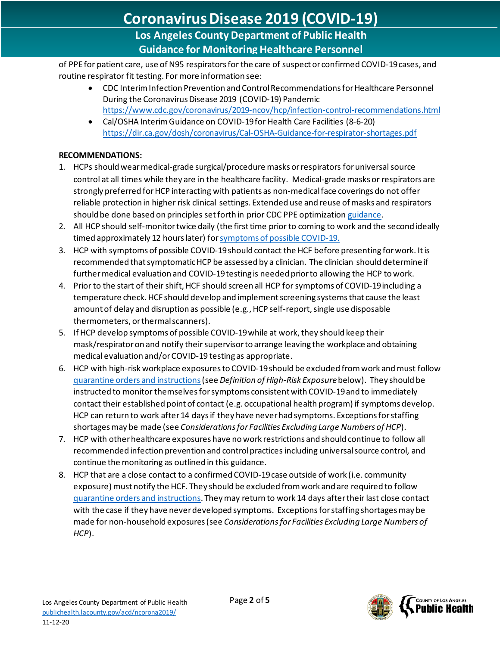**Guidance for Monitoring Healthcare Personnel**

of PPE for patient care, use of N95 respirators for the care of suspect or confirmed COVID-19 cases, and routine respirator fit testing. For more information see:

- CDC Interim Infection Prevention and Control Recommendations for Healthcare Personnel During the Coronavirus Disease 2019 (COVID-19) Pandemic <https://www.cdc.gov/coronavirus/2019-ncov/hcp/infection-control-recommendations.html>
- Cal/OSHA Interim Guidance on COVID-19 for Health Care Facilities (8-6-20) <https://dir.ca.gov/dosh/coronavirus/Cal-OSHA-Guidance-for-respirator-shortages.pdf>

## **RECOMMENDATIONS:**

l,

- 1. HCPs should wear medical-grade surgical/procedure masks or respirators for universal source control at all times while they are in the healthcare facility. Medical-grade masks or respirators are strongly preferred for HCP interacting with patients as non-medical face coverings do not offer reliable protection in higher risk clinical settings. Extended use and reuse of masks and respirators should be done based on principles set forth in prior CDC PPE optimizatio[n guidance.](https://www.cdc.gov/coronavirus/2019-ncov/hcp/ppe-strategy/face-masks.html#contingency-capacity)
- 2. All HCP should self-monitor twice daily (the first time prior to coming to work and the second ideally timed approximately 12 hours later) fo[r symptoms of possible COVID-19.](http://ph.lacounty.gov/acd/ncorona2019/faq.htm#clinicalFeatures)
- 3. HCP with symptoms of possible COVID-19should contact the HCF before presenting for work. It is recommended that symptomatic HCP be assessed by a clinician. The clinician should determine if furthermedical evaluation and COVID-19 testing is needed prior to allowing the HCP to work.
- 4. Prior to the start of their shift, HCF should screen all HCP for symptoms of COVID-19including a temperature check.HCF should develop and implement screening systems that cause the least amount of delay and disruption as possible (e.g., HCP self-report, single use disposable thermometers, or thermal scanners).
- 5. If HCP develop symptoms of possible COVID-19 while at work, they should keep their mask/respiratoron and notify their supervisorto arrange leaving the workplace and obtaining medical evaluation and/or COVID-19 testing as appropriate.
- 6. HCP with high-risk workplace exposures to COVID-19 should be excluded from work and must follow [quarantine orders and instructions](http://publichealth.lacounty.gov/acd/ncorona2019/covidquarantine/)(see *Definition of High-Risk Exposure*below). They should be instructed to monitor themselves for symptoms consistent with COVID-19 and to immediately contact their established point of contact (e.g. occupational health program) if symptoms develop. HCP can return to work after 14 days if they have never had symptoms. Exceptions for staffing shortages may be made (see *Considerations for Facilities Excluding Large Numbers of HCP*).
- 7. HCP with otherhealthcare exposures have no work restrictions and should continue to follow all recommended infection prevention and control practices including universal source control, and continue the monitoring as outlined in this guidance.
- 8. HCP that are a close contact to a confirmed COVID-19 case outside of work (i.e. community exposure) must notify the HCF. They should be excluded from work and are required to follow [quarantine orders and instructions.](http://publichealth.lacounty.gov/acd/ncorona2019/covidquarantine/) They may return to work 14 days after their last close contact with the case if they have never developed symptoms. Exceptions for staffing shortages may be made for non-household exposures(see *Considerations for Facilities Excluding Large Numbers of HCP*).

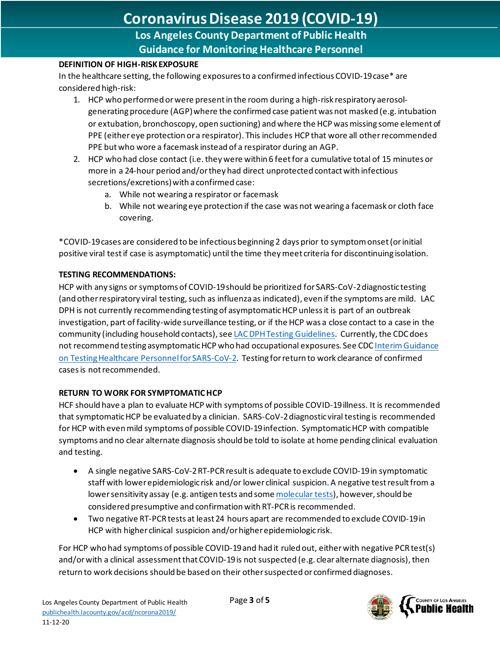# **Coronavirus Disease 2019 (COVID-19)**

**Los Angeles County Department of Public Health Guidance for Monitoring Healthcare Personnel**

#### **DEFINITION OF HIGH-RISK EXPOSURE**

l,

In the healthcare setting, the following exposures to a confirmed infectious COVID-19 case\* are considered high-risk:

- 1. HCP who performed or were present in the room during a high-risk respiratory aerosolgenerating procedure (AGP) where the confirmed case patient was not masked (e.g. intubation or extubation, bronchoscopy, open suctioning) andwhere the HCP was missing some element of PPE (either eye protection or a respirator). This includes HCP that wore all other recommended PPE but who wore a facemask instead of a respirator during an AGP.
- 2. HCP who had close contact (i.e. they were within 6 feet for a cumulative total of 15 minutes or more in a 24-hour period and/or they had direct unprotected contact with infectious secretions/excretions) with a confirmed case:
	- a. While not wearing a respirator or facemask
	- b. While not wearing eye protection if the case was not wearing a facemask or cloth face covering.

\*COVID-19 cases are considered to be infectious beginning 2 days prior to symptom onset(or initial positive viral test if case is asymptomatic) until the time they meet criteria for discontinuing isolation.

#### **TESTING RECOMMENDATIONS:**

HCP with any signs or symptoms of COVID-19 should be prioritized for SARS-CoV-2 diagnostic testing (and other respiratory viral testing, such as influenza as indicated), even if the symptoms are mild. LAC DPH is not currently recommending testing of asymptomatic HCP unless it is part of an outbreak investigation, part of facility-wide surveillance testing, or if the HCP was a close contact to a case in the community (including household contacts), se[e LAC DPH Testing Guidelines.](http://publichealth.lacounty.gov/acd/ncorona2019/testing/guidelines/#ExpandedTestingRecs) Currently, the CDC does not recommend testing asymptomatic HCP who had occupational exposures. See CD[C Interim Guidance](https://www.cdc.gov/coronavirus/2019-ncov/hcp/testing-healthcare-personnel.html)  [on Testing Healthcare Personnel for SARS-CoV-2.](https://www.cdc.gov/coronavirus/2019-ncov/hcp/testing-healthcare-personnel.html) Testing for return to work clearance of confirmed cases is not recommended.

## **RETURN TO WORK FOR SYMPTOMATIC HCP**

HCF should have a plan to evaluate HCP with symptoms of possible COVID-19 illness. It is recommended that symptomatic HCP be evaluated by a clinician. SARS-CoV-2 diagnostic viral testing is recommended for HCP with even mild symptoms of possible COVID-19 infection. Symptomatic HCP with compatible symptoms and no clear alternate diagnosis should be told to isolate at home pending clinical evaluation and testing.

- A single negative SARS-CoV-2 RT-PCR result is adequate to exclude COVID-19 in symptomatic staff with lower epidemiologic risk and/or lower clinical suspicion. A negative test result from a lower sensitivity assay (e.g. antigen tests and som[e molecular tests\)](https://www.fda.gov/medical-devices/coronavirus-covid-19-and-medical-devices/sars-cov-2-reference-panel-comparative-data?utm_medium=email&utm_source=govdelivery), however, should be considered presumptive and confirmation with RT-PCR is recommended.
- Two negative RT-PCR tests at least 24 hours apart are recommended to exclude COVID-19 in HCP with higher clinical suspicion and/or higher epidemiologic risk.

For HCP who had symptoms of possible COVID-19 and had it ruled out, either with negative PCR test(s) and/or with a clinical assessment that COVID-19 is not suspected (e.g. clear alternate diagnosis), then return to work decisions should be based on their other suspected or confirmed diagnoses.

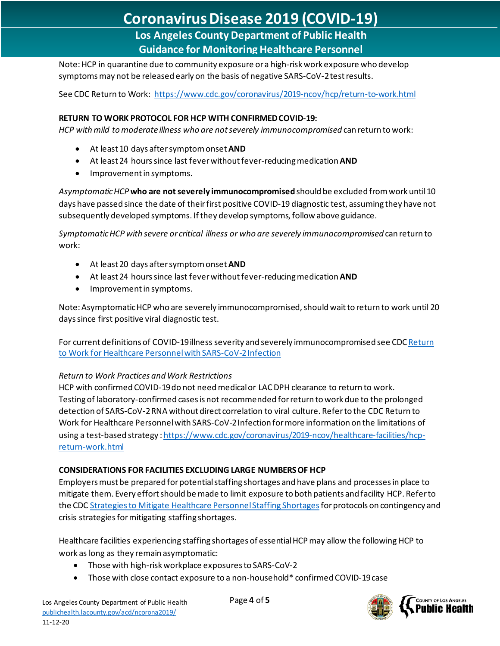# **Coronavirus Disease 2019 (COVID-19)**

**Los Angeles County Department of Public Health Guidance for Monitoring Healthcare Personnel**

Note: HCP in quarantine due to community exposure or a high-risk work exposure who develop symptoms may not be released early on the basis of negative SARS-CoV-2 test results.

See CDC Return to Work:<https://www.cdc.gov/coronavirus/2019-ncov/hcp/return-to-work.html>

#### **RETURN TO WORK PROTOCOL FOR HCP WITH CONFIRMED COVID-19:**

*HCP withmild to moderate illness who are not severely immunocompromised* can return to work:

- At least 10 days after symptom onset **AND**
- At least 24 hours since last fever without fever-reducing medication **AND**
- Improvement in symptoms.

l,

*Asymptomatic HCP* **who are not severely immunocompromised** should be excluded from work until 10 days have passed since the date of their first positive COVID-19 diagnostic test, assuming they have not subsequently developed symptoms. If they develop symptoms, follow above guidance.

*Symptomatic HCP with severe or critical illness or who are severely immunocompromised* can return to work:

- At least 20 days after symptom onset **AND**
- At least 24 hours since last fever without fever-reducing medication **AND**
- Improvement in symptoms.

Note: Asymptomatic HCP who are severely immunocompromised, should wait to return to work until 20 days since first positive viral diagnostic test.

For current definitions of COVID-19 illness severity and severely immunocompromised see CD[C Return](https://www.cdc.gov/coronavirus/2019-ncov/hcp/return-to-work.html?CDC_AA_refVal=https%3A%2F%2Fwww.cdc.gov%2Fcoronavirus%2F2019-ncov%2Fhealthcare-facilities%2Fhcp-return-work.html)  [to Work for Healthcare Personnel with SARS-CoV-2 Infection](https://www.cdc.gov/coronavirus/2019-ncov/hcp/return-to-work.html?CDC_AA_refVal=https%3A%2F%2Fwww.cdc.gov%2Fcoronavirus%2F2019-ncov%2Fhealthcare-facilities%2Fhcp-return-work.html)

#### *Return to Work Practices and Work Restrictions*

HCP with confirmed COVID-19 do not need medical or LAC DPH clearance to return to work. Testingof laboratory-confirmed cases is not recommended forreturn to work due to the prolonged detection of SARS-CoV-2 RNA without direct correlation to viral culture. Refer to the CDC Return to Work for Healthcare Personnel with SARS-CoV-2 Infection for more information on the limitations of using a test-based strategy [: https://www.cdc.gov/coronavirus/2019-ncov/healthcare-facilities/hcp](https://www.cdc.gov/coronavirus/2019-ncov/healthcare-facilities/hcp-return-work.html)[return-work.html](https://www.cdc.gov/coronavirus/2019-ncov/healthcare-facilities/hcp-return-work.html)

#### **CONSIDERATIONS FOR FACILITIES EXCLUDING LARGE NUMBERS OF HCP**

Employers must be prepared for potential staffing shortages and have plans and processes in place to mitigate them. Every effort should be made to limit exposure to both patients and facility HCP. Refer to the CDC [Strategies to Mitigate Healthcare Personnel Staffing Shortages](https://www.cdc.gov/coronavirus/2019-ncov/hcp/mitigating-staff-shortages.html)for protocols on contingency and crisis strategies for mitigating staffing shortages.

Healthcare facilities experiencing staffing shortages of essential HCP may allow the following HCP to work as long as they remain asymptomatic:

- Those with high-risk workplace exposures to SARS-CoV-2
- Those with close contact exposure to a non-household\* confirmed COVID-19 case